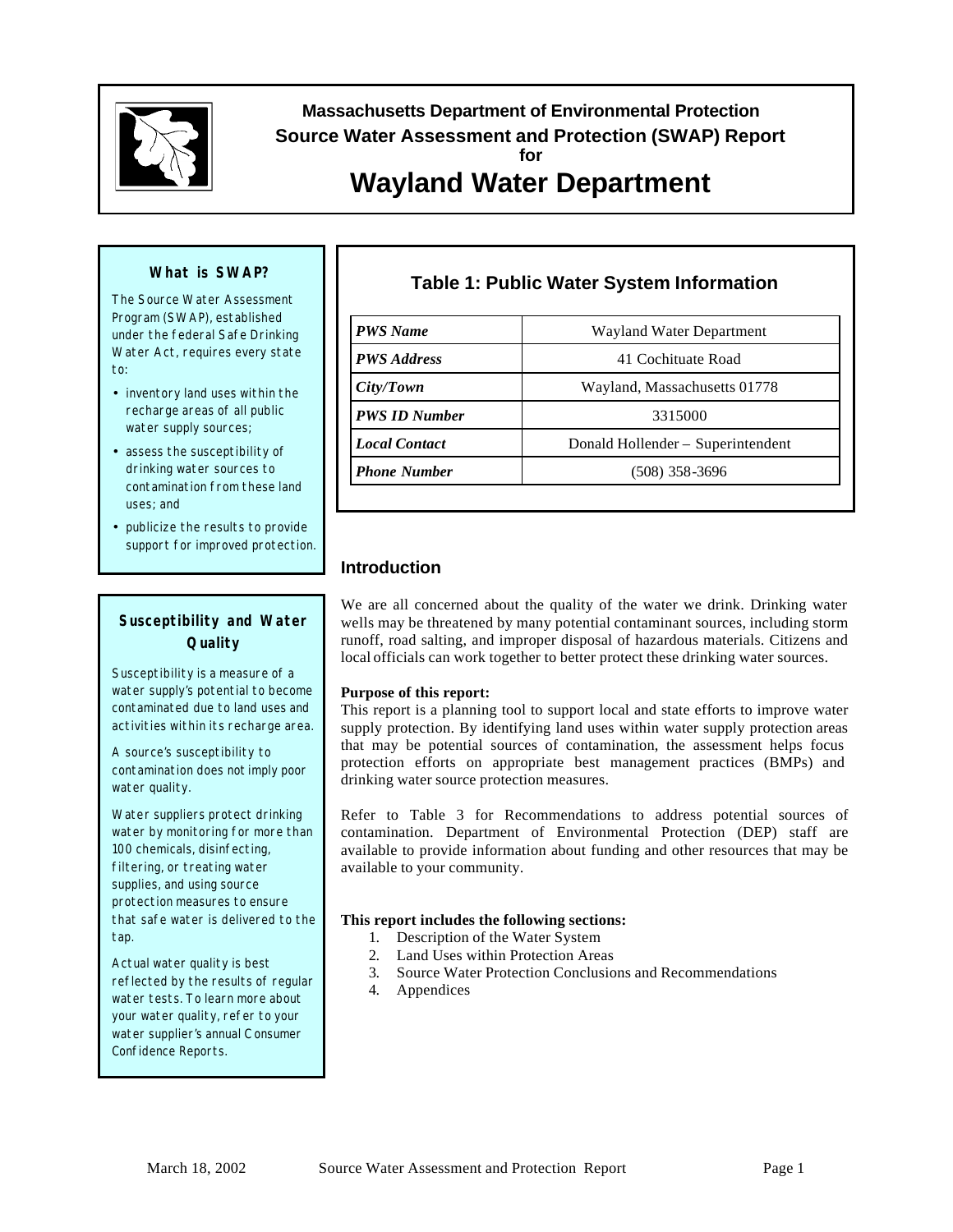

## **Massachusetts Department of Environmental Protection Source Water Assessment and Protection (SWAP) Report for**

# **Wayland Water Department**

#### **What is SWAP?**

The Source Water Assessment Program (SWAP), established under the federal Safe Drinking Water Act, requires every state to:

- inventory land uses within the recharge areas of all public water supply sources;
- assess the susceptibility of drinking water sources to contamination from these land uses; and
- publicize the results to provide support for improved protection.

## **Susceptibility and Water Quality**

Susceptibility is a measure of a water supply's potential to become contaminated due to land uses and activities within its recharge area.

A source's susceptibility to contamination does *not* imply poor water quality.

Water suppliers protect drinking water by monitoring for more than 100 chemicals, disinfecting, filtering, or treating water supplies, and using source protection measures to ensure that safe water is delivered to the tap.

Actual water quality is best reflected by the results of regular water tests. To learn more about your water quality, refer to your water supplier's annual C onsumer Confidence Reports.

## **Table 1: Public Water System Information**

| <b>PWS</b> Name      | Wayland Water Department          |  |  |  |
|----------------------|-----------------------------------|--|--|--|
| <b>PWS</b> Address   | 41 Cochituate Road                |  |  |  |
| City/Town            | Wayland, Massachusetts 01778      |  |  |  |
| <b>PWS ID Number</b> | 3315000                           |  |  |  |
| <b>Local Contact</b> | Donald Hollender - Superintendent |  |  |  |
| <b>Phone Number</b>  | (508) 358-3696                    |  |  |  |

## **Introduction**

We are all concerned about the quality of the water we drink. Drinking water wells may be threatened by many potential contaminant sources, including storm runoff, road salting, and improper disposal of hazardous materials. Citizens and local officials can work together to better protect these drinking water sources.

#### **Purpose of this report:**

This report is a planning tool to support local and state efforts to improve water supply protection. By identifying land uses within water supply protection areas that may be potential sources of contamination, the assessment helps focus protection efforts on appropriate best management practices (BMPs) and drinking water source protection measures.

Refer to Table 3 for Recommendations to address potential sources of contamination. Department of Environmental Protection (DEP) staff are available to provide information about funding and other resources that may be available to your community.

#### **This report includes the following sections:**

- 1. Description of the Water System
- 2. Land Uses within Protection Areas
- 3. Source Water Protection Conclusions and Recommendations
- 4. Appendices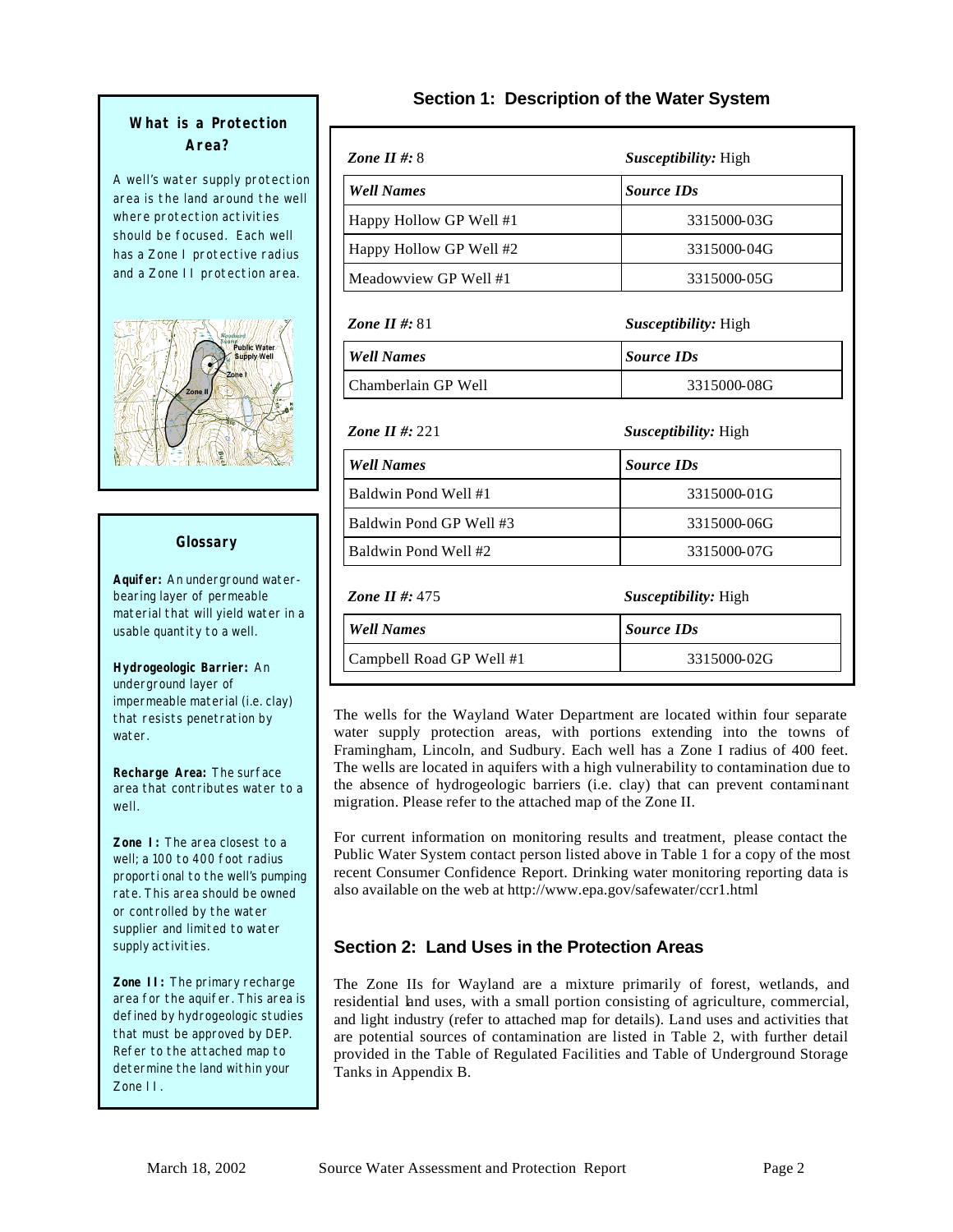## **What is a Protection Area?**

A well's water supply protection area is the land around the well where protection activities should be focused. Each well has a Zone I protective radius and a Zone II protection area.



#### **Glossary**

**Aquifer:** An underground waterbearing layer of permeable material that will yield water in a usable quantity to a well.

**Hydrogeologic Barrier:** An underground layer of impermeable material (i.e. clay) that resists penetration by water.

**Recharge Area:** The surface area that contributes water to a well.

**Zone I:** The area closest to a well; a 100 to 400 foot radius proporti onal to the well's pumping rate. This area should be owned or controlled by the water supplier and limited to water supply activities.

**Zone II:** The primary recharge area for the aquifer. This area is defined by hydrogeologic studies that must be approved by DEP. Refer to the attached map to determine the land within your Zone II.

## **Section 1: Description of the Water System**

| Zone II #: $8$           | <i>Susceptibility:</i> High |
|--------------------------|-----------------------------|
| <b>Well Names</b>        | <b>Source IDs</b>           |
| Happy Hollow GP Well #1  | 3315000-03G                 |
| Happy Hollow GP Well #2  | 3315000-04G                 |
| Meadowyiew GP Well #1    | 3315000-05G                 |
| <b>Zone II #: 81</b>     | <i>Susceptibility:</i> High |
| <b>Well Names</b>        | <b>Source IDs</b>           |
| Chamberlain GP Well      | 3315000-08G                 |
| <b>Zone II #: 221</b>    | <i>Susceptibility:</i> High |
| <b>Well Names</b>        | <b>Source IDs</b>           |
| Baldwin Pond Well #1     | 3315000-01G                 |
| Baldwin Pond GP Well #3  | 3315000-06G                 |
| Baldwin Pond Well #2     | 3315000-07G                 |
| Zone II #: $475$         | <i>Susceptibility:</i> High |
| <b>Well Names</b>        | <b>Source IDs</b>           |
| Campbell Road GP Well #1 | 3315000-02G                 |

The wells for the Wayland Water Department are located within four separate water supply protection areas, with portions extending into the towns of Framingham, Lincoln, and Sudbury. Each well has a Zone I radius of 400 feet. The wells are located in aquifers with a high vulnerability to contamination due to the absence of hydrogeologic barriers (i.e. clay) that can prevent contaminant migration. Please refer to the attached map of the Zone II.

For current information on monitoring results and treatment, please contact the Public Water System contact person listed above in Table 1 for a copy of the most recent Consumer Confidence Report. Drinking water monitoring reporting data is also available on the web at http://www.epa.gov/safewater/ccr1.html

## **Section 2: Land Uses in the Protection Areas**

The Zone IIs for Wayland are a mixture primarily of forest, wetlands, and residential land uses, with a small portion consisting of agriculture, commercial, and light industry (refer to attached map for details). Land uses and activities that are potential sources of contamination are listed in Table 2, with further detail provided in the Table of Regulated Facilities and Table of Underground Storage Tanks in Appendix B.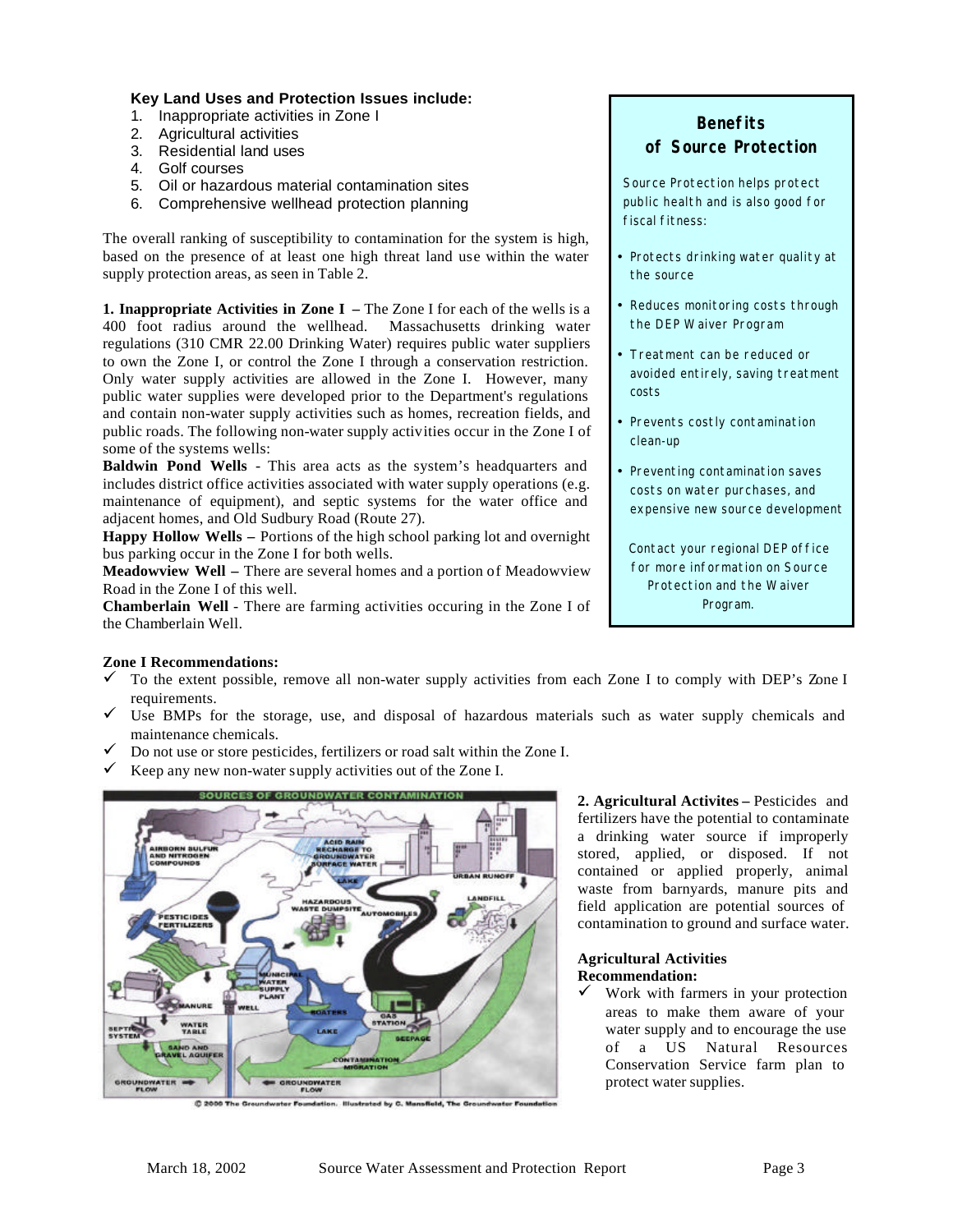#### **Key Land Uses and Protection Issues include:**

- 1. Inappropriate activities in Zone I
- 2. Agricultural activities
- 3. Residential land uses
- 4. Golf courses
- 5. Oil or hazardous material contamination sites
- 6. Comprehensive wellhead protection planning

The overall ranking of susceptibility to contamination for the system is high, based on the presence of at least one high threat land use within the water supply protection areas, as seen in Table 2.

**1. Inappropriate Activities in Zone I –** The Zone I for each of the wells is a 400 foot radius around the wellhead. Massachusetts drinking water regulations (310 CMR 22.00 Drinking Water) requires public water suppliers to own the Zone I, or control the Zone I through a conservation restriction. Only water supply activities are allowed in the Zone I. However, many public water supplies were developed prior to the Department's regulations and contain non-water supply activities such as homes, recreation fields, and public roads. The following non-water supply activities occur in the Zone I of some of the systems wells:

**Baldwin Pond Wells** - This area acts as the system's headquarters and includes district office activities associated with water supply operations (e.g. maintenance of equipment), and septic systems for the water office and adjacent homes, and Old Sudbury Road (Route 27).

**Happy Hollow Wells –** Portions of the high school parking lot and overnight bus parking occur in the Zone I for both wells.

**Meadowview Well –** There are several homes and a portion of Meadowview Road in the Zone I of this well.

**Chamberlain Well** - There are farming activities occuring in the Zone I of the Chamberlain Well.

## **Benefits**

## **of Source Protection**

Source Protection helps protect public health and is also good for fiscal fitness:

- Protects drinking water quality at the source
- Reduces monitoring costs through the DEP Waiver Program
- Treatment can be reduced or avoided entirely, saving treatment costs
- Prevents costly contamination clean-up
- Preventing contamination saves costs on water purchases, and expensive new source development

Contact your regional DEP office for more information on Source Protection and the Waiver Program.

#### **Zone I Recommendations:**

- $\checkmark$  To the extent possible, remove all non-water supply activities from each Zone I to comply with DEP's Zone I requirements.
- $\checkmark$  Use BMPs for the storage, use, and disposal of hazardous materials such as water supply chemicals and maintenance chemicals.
- $\checkmark$  Do not use or store pesticides, fertilizers or road salt within the Zone I.
- Keep any new non-water supply activities out of the Zone I.



C 2000 The Groundwater Foundation. Illustrated by C. Mansfield, The Groundwater F.

**2. Agricultural Activites –** Pesticides and fertilizers have the potential to contaminate a drinking water source if improperly stored, applied, or disposed. If not contained or applied properly, animal waste from barnyards, manure pits and field application are potential sources of contamination to ground and surface water.

#### **Agricultural Activities Recommendation:**

 $\checkmark$  Work with farmers in your protection areas to make them aware of your water supply and to encourage the use of a US Natural Resources Conservation Service farm plan to protect water supplies.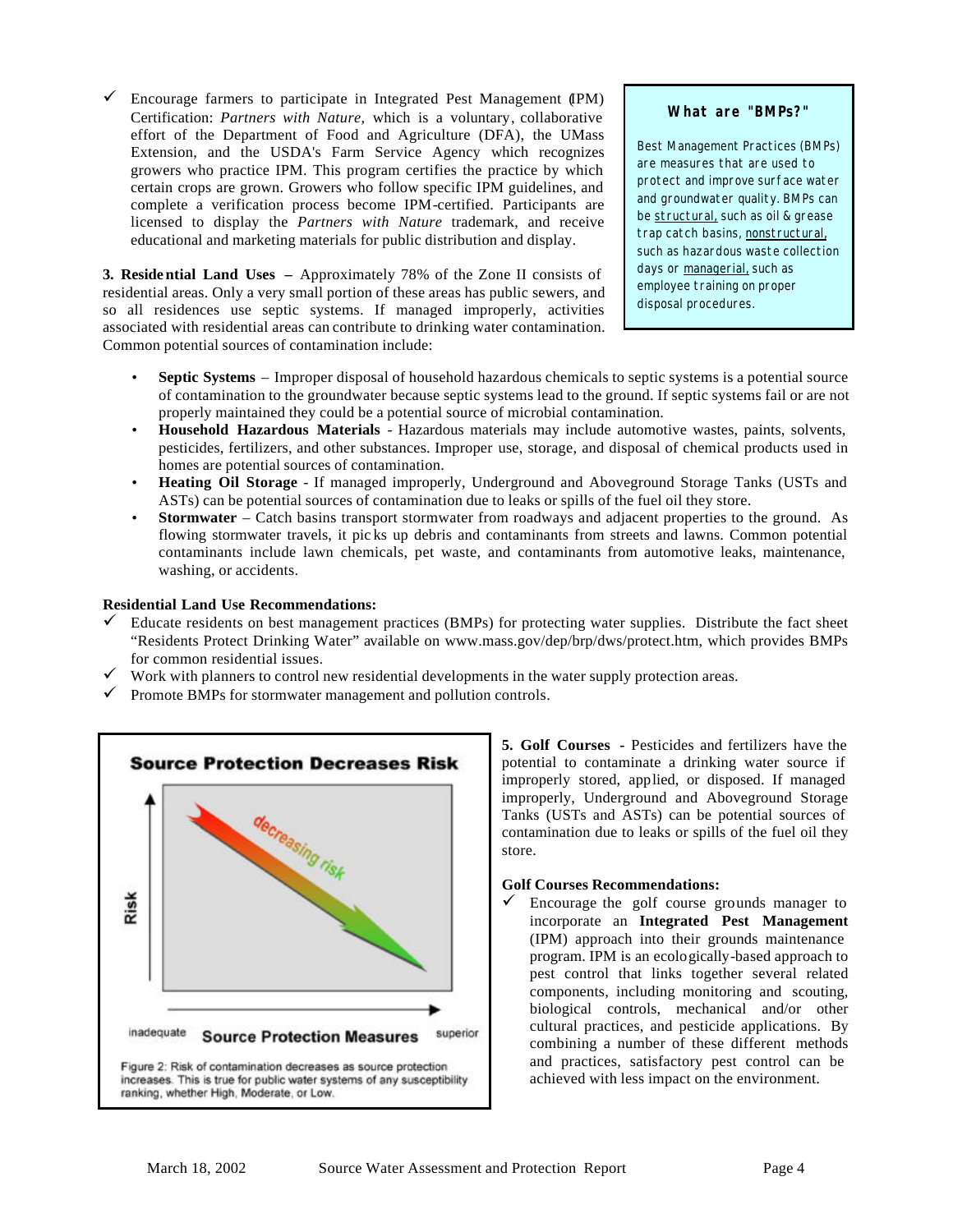$\checkmark$  Encourage farmers to participate in Integrated Pest Management (IPM) Certification: *Partners with Nature,* which is a voluntary, collaborative effort of the Department of Food and Agriculture (DFA), the UMass Extension, and the USDA's Farm Service Agency which recognizes growers who practice IPM. This program certifies the practice by which certain crops are grown. Growers who follow specific IPM guidelines, and complete a verification process become IPM-certified. Participants are licensed to display the *Partners with Nature* trademark, and receive educational and marketing materials for public distribution and display.

**3. Reside ntial Land Uses –** Approximately 78% of the Zone II consists of residential areas. Only a very small portion of these areas has public sewers, and so all residences use septic systems. If managed improperly, activities associated with residential areas can contribute to drinking water contamination. Common potential sources of contamination include:

#### **What are "BMPs?"**

Best Management Practices (BMPs) are measures that are used to protect and improve surface water and groundwater quality. BMPs can be structural, such as oil & grease trap catch basins, nonstructural, such as hazardous waste collection days or managerial, such as employee training on proper disposal procedures.

- **Septic Systems** Improper disposal of household hazardous chemicals to septic systems is a potential source of contamination to the groundwater because septic systems lead to the ground. If septic systems fail or are not properly maintained they could be a potential source of microbial contamination.
- **Household Hazardous Materials** Hazardous materials may include automotive wastes, paints, solvents, pesticides, fertilizers, and other substances. Improper use, storage, and disposal of chemical products used in homes are potential sources of contamination.
- **Heating Oil Storage** If managed improperly, Underground and Aboveground Storage Tanks (USTs and ASTs) can be potential sources of contamination due to leaks or spills of the fuel oil they store.
- **Stormwater** Catch basins transport stormwater from roadways and adjacent properties to the ground. As flowing stormwater travels, it pic ks up debris and contaminants from streets and lawns. Common potential contaminants include lawn chemicals, pet waste, and contaminants from automotive leaks, maintenance, washing, or accidents.

#### **Residential Land Use Recommendations:**

- Educate residents on best management practices (BMPs) for protecting water supplies. Distribute the fact sheet "Residents Protect Drinking Water" available on www.mass.gov/dep/brp/dws/protect.htm, which provides BMPs for common residential issues.
- $\checkmark$  Work with planners to control new residential developments in the water supply protection areas.
- $\checkmark$  Promote BMPs for stormwater management and pollution controls.



**5. Golf Courses -** Pesticides and fertilizers have the potential to contaminate a drinking water source if improperly stored, applied, or disposed. If managed improperly, Underground and Aboveground Storage Tanks (USTs and ASTs) can be potential sources of contamination due to leaks or spills of the fuel oil they store.

#### **Golf Courses Recommendations:**

Encourage the golf course grounds manager to incorporate an **Integrated Pest Management** (IPM) approach into their grounds maintenance program. IPM is an ecologically-based approach to pest control that links together several related components, including monitoring and scouting, biological controls, mechanical and/or other cultural practices, and pesticide applications. By combining a number of these different methods and practices, satisfactory pest control can be achieved with less impact on the environment.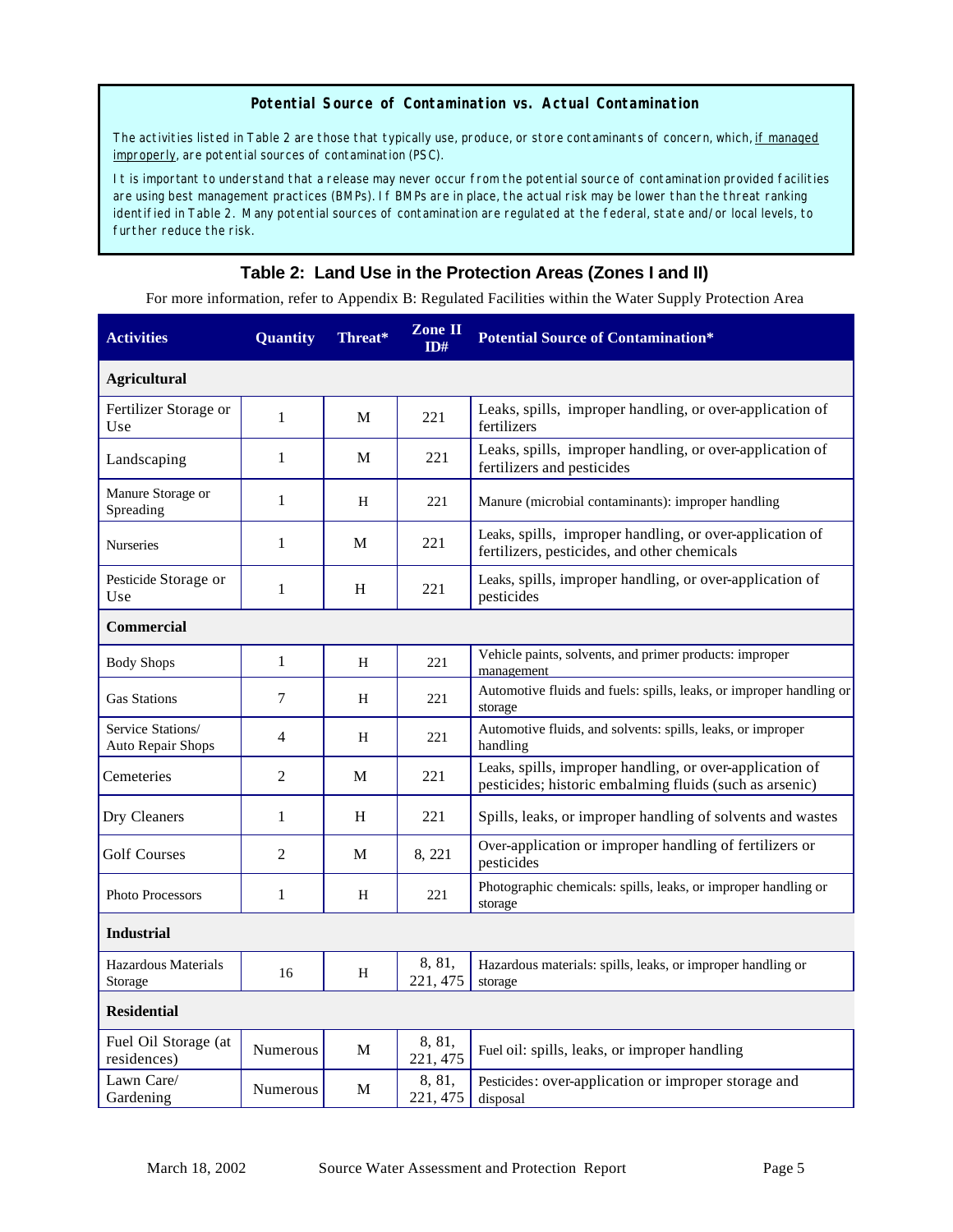#### **Potential Source of Contamination vs. Actual Contamination**

The activities listed in Table 2 are those that typically use, produce, or store contaminants of concern, which, if managed improperly, are potential sources of contamination (PSC).

It is important to understand that a release may never occur from the potential source of contamination provided facilities are using best management practices (BMPs). If BMPs are in place, the actual risk may be lower than the threat ranking identified in Table 2. Many potential sources of contamination are regulated at the federal, state and/or local levels, to further reduce the risk.

## **Table 2: Land Use in the Protection Areas (Zones I and II)**

For more information, refer to Appendix B: Regulated Facilities within the Water Supply Protection Area

| <b>Activities</b>                      | <b>Quantity</b> | Threat* | <b>Zone II</b><br>ID# | <b>Potential Source of Contamination*</b>                                                                           |
|----------------------------------------|-----------------|---------|-----------------------|---------------------------------------------------------------------------------------------------------------------|
| <b>Agricultural</b>                    |                 |         |                       |                                                                                                                     |
| Fertilizer Storage or<br>Use           | $\mathbf{1}$    | M       | 221                   | Leaks, spills, improper handling, or over-application of<br>fertilizers                                             |
| Landscaping                            | $\mathbf{1}$    | М       | 221                   | Leaks, spills, improper handling, or over-application of<br>fertilizers and pesticides                              |
| Manure Storage or<br>Spreading         | 1               | H       | 221                   | Manure (microbial contaminants): improper handling                                                                  |
| <b>Nurseries</b>                       | $\mathbf{1}$    | M       | 221                   | Leaks, spills, improper handling, or over-application of<br>fertilizers, pesticides, and other chemicals            |
| Pesticide Storage or<br>Use            | $\mathbf{1}$    | H       | 221                   | Leaks, spills, improper handling, or over-application of<br>pesticides                                              |
| <b>Commercial</b>                      |                 |         |                       |                                                                                                                     |
| <b>Body Shops</b>                      | $\mathbf{1}$    | H       | 221                   | Vehicle paints, solvents, and primer products: improper<br>management                                               |
| <b>Gas Stations</b>                    | 7               | H       | 221                   | Automotive fluids and fuels: spills, leaks, or improper handling or<br>storage                                      |
| Service Stations/<br>Auto Repair Shops | 4               | H       | 221                   | Automotive fluids, and solvents: spills, leaks, or improper<br>handling                                             |
| Cemeteries                             | 2               | M       | 221                   | Leaks, spills, improper handling, or over-application of<br>pesticides; historic embalming fluids (such as arsenic) |
| Dry Cleaners                           | 1               | H       | 221                   | Spills, leaks, or improper handling of solvents and wastes                                                          |
| <b>Golf Courses</b>                    | 2               | M       | 8, 221                | Over-application or improper handling of fertilizers or<br>pesticides                                               |
| Photo Processors                       | 1               | H       | 221                   | Photographic chemicals: spills, leaks, or improper handling or<br>storage                                           |
| <b>Industrial</b>                      |                 |         |                       |                                                                                                                     |
| Hazardous Materials<br>Storage         | 16              | H       | 8, 81,<br>221, 475    | Hazardous materials: spills, leaks, or improper handling or<br>storage                                              |
| <b>Residential</b>                     |                 |         |                       |                                                                                                                     |
| Fuel Oil Storage (at<br>residences)    | Numerous        | М       | 8, 81,<br>221, 475    | Fuel oil: spills, leaks, or improper handling                                                                       |
| Lawn Care/<br>Gardening                | <b>Numerous</b> | М       | 8, 81,<br>221, 475    | Pesticides: over-application or improper storage and<br>disposal                                                    |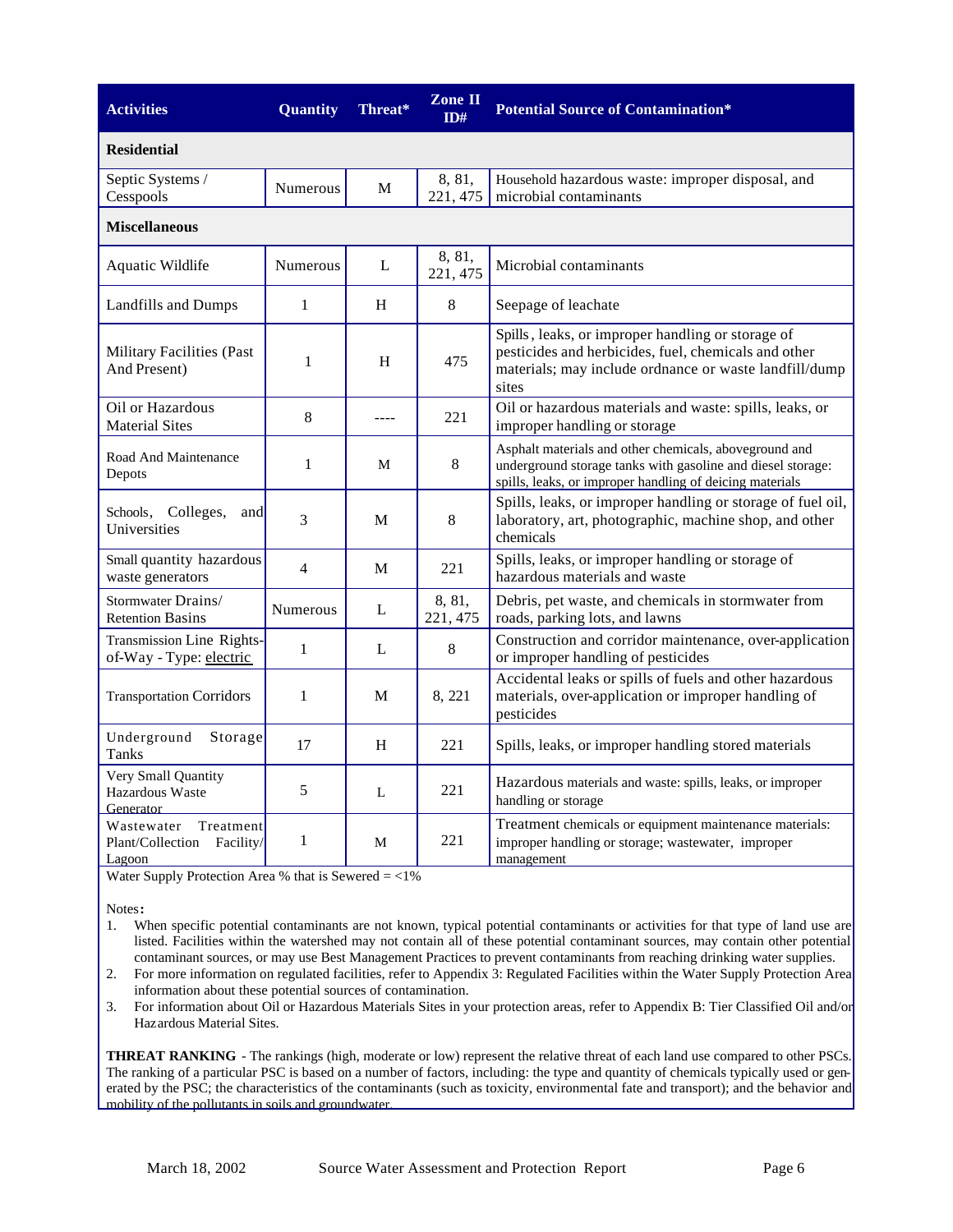| <b>Activities</b>                                                  | <b>Quantity</b> | Threat* | <b>Zone II</b><br>ID# | <b>Potential Source of Contamination*</b>                                                                                                                                         |  |  |
|--------------------------------------------------------------------|-----------------|---------|-----------------------|-----------------------------------------------------------------------------------------------------------------------------------------------------------------------------------|--|--|
| <b>Residential</b>                                                 |                 |         |                       |                                                                                                                                                                                   |  |  |
| Septic Systems /<br>Cesspools                                      | Numerous        | M       | 8, 81,<br>221, 475    | Household hazardous waste: improper disposal, and<br>microbial contaminants                                                                                                       |  |  |
| <b>Miscellaneous</b>                                               |                 |         |                       |                                                                                                                                                                                   |  |  |
| Aquatic Wildlife                                                   | Numerous        | L       | 8, 81,<br>221, 475    | Microbial contaminants                                                                                                                                                            |  |  |
| Landfills and Dumps                                                | $\mathbf{1}$    | H       | 8                     | Seepage of leachate                                                                                                                                                               |  |  |
| <b>Military Facilities (Past</b><br>And Present)                   | $\mathbf{1}$    | H       | 475                   | Spills, leaks, or improper handling or storage of<br>pesticides and herbicides, fuel, chemicals and other<br>materials; may include ordnance or waste landfill/dump<br>sites      |  |  |
| Oil or Hazardous<br><b>Material Sites</b>                          | 8               | ----    | 221                   | Oil or hazardous materials and waste: spills, leaks, or<br>improper handling or storage                                                                                           |  |  |
| Road And Maintenance<br>Depots                                     | $\mathbf{1}$    | M       | $\,8\,$               | Asphalt materials and other chemicals, aboveground and<br>underground storage tanks with gasoline and diesel storage:<br>spills, leaks, or improper handling of deicing materials |  |  |
| Colleges,<br>Schools,<br>and<br>Universities                       | 3               | М       | 8                     | Spills, leaks, or improper handling or storage of fuel oil,<br>laboratory, art, photographic, machine shop, and other<br>chemicals                                                |  |  |
| Small quantity hazardous<br>waste generators                       | $\overline{4}$  | M       | 221                   | Spills, leaks, or improper handling or storage of<br>hazardous materials and waste                                                                                                |  |  |
| Stormwater Drains/<br><b>Retention Basins</b>                      | <b>Numerous</b> | L       | 8, 81,<br>221, 475    | Debris, pet waste, and chemicals in stormwater from<br>roads, parking lots, and lawns                                                                                             |  |  |
| Transmission Line Rights-<br>of-Way - Type: electric               | 1               | L       | $8\,$                 | Construction and corridor maintenance, over-application<br>or improper handling of pesticides                                                                                     |  |  |
| <b>Transportation Corridors</b>                                    | $\mathbf{1}$    | M       | 8, 221                | Accidental leaks or spills of fuels and other hazardous<br>materials, over-application or improper handling of<br>pesticides                                                      |  |  |
| Underground<br>Storage<br>Tanks                                    | 17              | H       | 221                   | Spills, leaks, or improper handling stored materials                                                                                                                              |  |  |
| Very Small Quantity<br>Hazardous Waste<br>Generator                | 5               | L       | 221                   | Hazardous materials and waste: spills, leaks, or improper<br>handling or storage                                                                                                  |  |  |
| Treatment<br>Wastewater<br>Plant/Collection<br>Facility/<br>Lagoon | $\mathbf{1}$    | M       | 221                   | Treatment chemicals or equipment maintenance materials:<br>improper handling or storage; wastewater, improper<br>management                                                       |  |  |

Water Supply Protection Area % that is Sewered  $=$  <1%

Notes**:** 

1. When specific potential contaminants are not known, typical potential contaminants or activities for that type of land use are listed. Facilities within the watershed may not contain all of these potential contaminant sources, may contain other potential contaminant sources, or may use Best Management Practices to prevent contaminants from reaching drinking water supplies.

2. For more information on regulated facilities, refer to Appendix 3: Regulated Facilities within the Water Supply Protection Area information about these potential sources of contamination.

3. For information about Oil or Hazardous Materials Sites in your protection areas, refer to Appendix B: Tier Classified Oil and/or Hazardous Material Sites.

**THREAT RANKING** - The rankings (high, moderate or low) represent the relative threat of each land use compared to other PSCs. The ranking of a particular PSC is based on a number of factors, including: the type and quantity of chemicals typically used or generated by the PSC; the characteristics of the contaminants (such as toxicity, environmental fate and transport); and the behavior and mobility of the pollutants in soils and groundwater.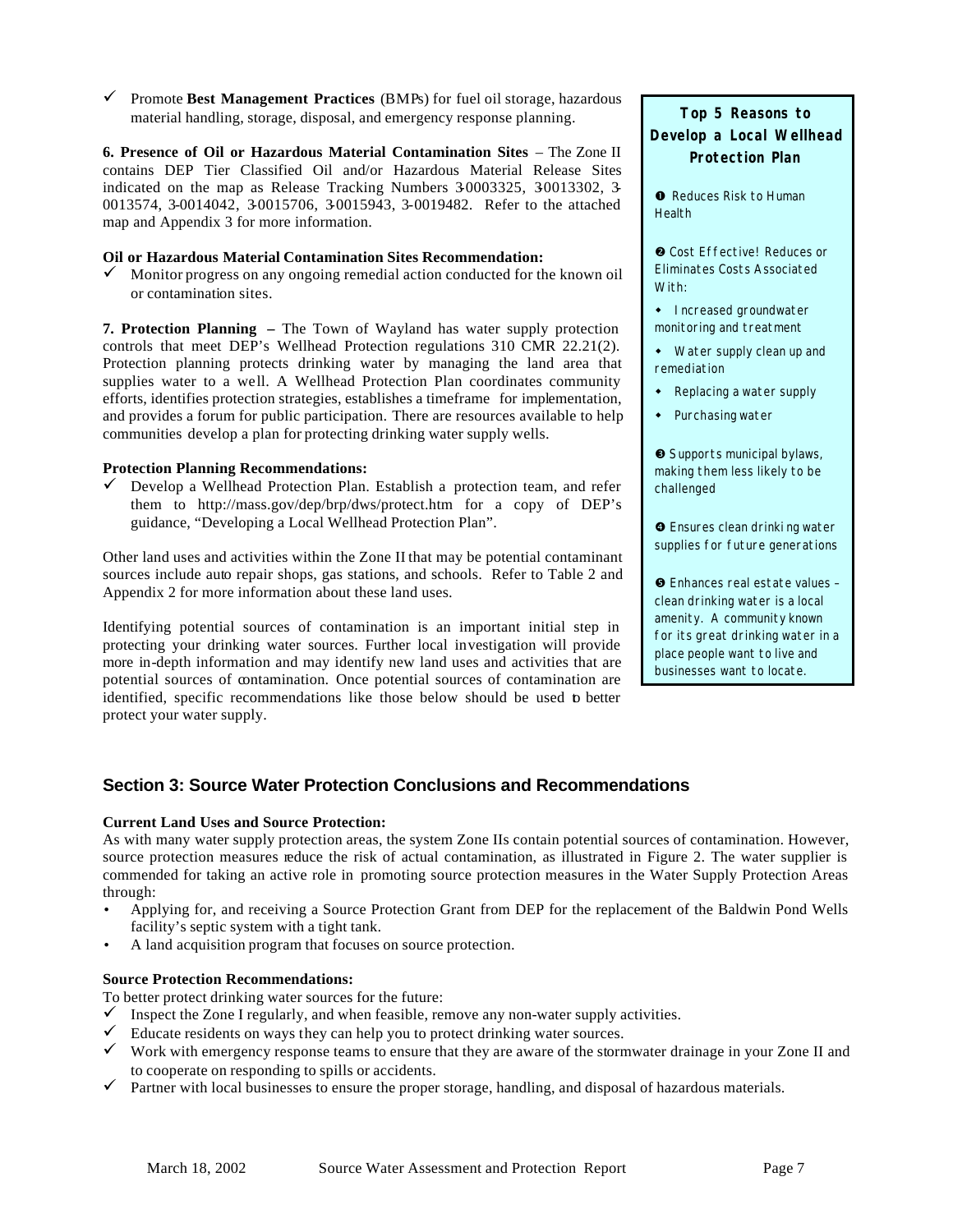¸ Promote **Best Management Practices** (BMPs) for fuel oil storage, hazardous material handling, storage, disposal, and emergency response planning.

**6. Presence of Oil or Hazardous Material Contamination Sites** – The Zone II contains DEP Tier Classified Oil and/or Hazardous Material Release Sites indicated on the map as Release Tracking Numbers 30003325, 30013302, 3-0013574, 3-0014042, 3-0015706, 3-0015943, 3-0019482. Refer to the attached map and Appendix 3 for more information.

#### **Oil or Hazardous Material Contamination Sites Recommendation:**

 $\checkmark$  Monitor progress on any ongoing remedial action conducted for the known oil or contamination sites.

**7. Protection Planning –** The Town of Wayland has water supply protection controls that meet DEP's Wellhead Protection regulations 310 CMR 22.21(2). Protection planning protects drinking water by managing the land area that supplies water to a well. A Wellhead Protection Plan coordinates community efforts, identifies protection strategies, establishes a timeframe for implementation, and provides a forum for public participation. There are resources available to help communities develop a plan for protecting drinking water supply wells.

#### **Protection Planning Recommendations:**

 $\checkmark$  Develop a Wellhead Protection Plan. Establish a protection team, and refer them to http://mass.gov/dep/brp/dws/protect.htm for a copy of DEP's guidance, "Developing a Local Wellhead Protection Plan".

Other land uses and activities within the Zone II that may be potential contaminant sources include auto repair shops, gas stations, and schools. Refer to Table 2 and Appendix 2 for more information about these land uses.

Identifying potential sources of contamination is an important initial step in protecting your drinking water sources. Further local investigation will provide more in-depth information and may identify new land uses and activities that are potential sources of contamination. Once potential sources of contamination are identified, specific recommendations like those below should be used to better protect your water supply.

**Top 5 Reasons to Develop a Local Wellhead Protection Plan**

**O** Reduces Risk to Human **Health** 

**Q** Cost Effective! Reduces or Eliminates Costs Associated With:

- Increased groundwater monitoring and treatment
- Water supply clean up and remediation
- Replacing a water supply
- Purchasing water

é Supports municipal bylaws, making them less likely to be challenged

 $\bullet$  Ensures clean drinki ng water supplies for future generations

ê Enhances real estate values – clean drinking water is a local amenity. A community known for its great drinking water in a place people want to live and businesses want to locate.

## **Section 3: Source Water Protection Conclusions and Recommendations**

#### **Current Land Uses and Source Protection:**

As with many water supply protection areas, the system Zone IIs contain potential sources of contamination. However, source protection measures reduce the risk of actual contamination, as illustrated in Figure 2. The water supplier is commended for taking an active role in promoting source protection measures in the Water Supply Protection Areas through:

- Applying for, and receiving a Source Protection Grant from DEP for the replacement of the Baldwin Pond Wells facility's septic system with a tight tank.
- A land acquisition program that focuses on source protection.

#### **Source Protection Recommendations:**

To better protect drinking water sources for the future:

- Inspect the Zone I regularly, and when feasible, remove any non-water supply activities.
- $\checkmark$  Educate residents on ways they can help you to protect drinking water sources.
- $\checkmark$  Work with emergency response teams to ensure that they are aware of the stormwater drainage in your Zone II and to cooperate on responding to spills or accidents.
- $\checkmark$  Partner with local businesses to ensure the proper storage, handling, and disposal of hazardous materials.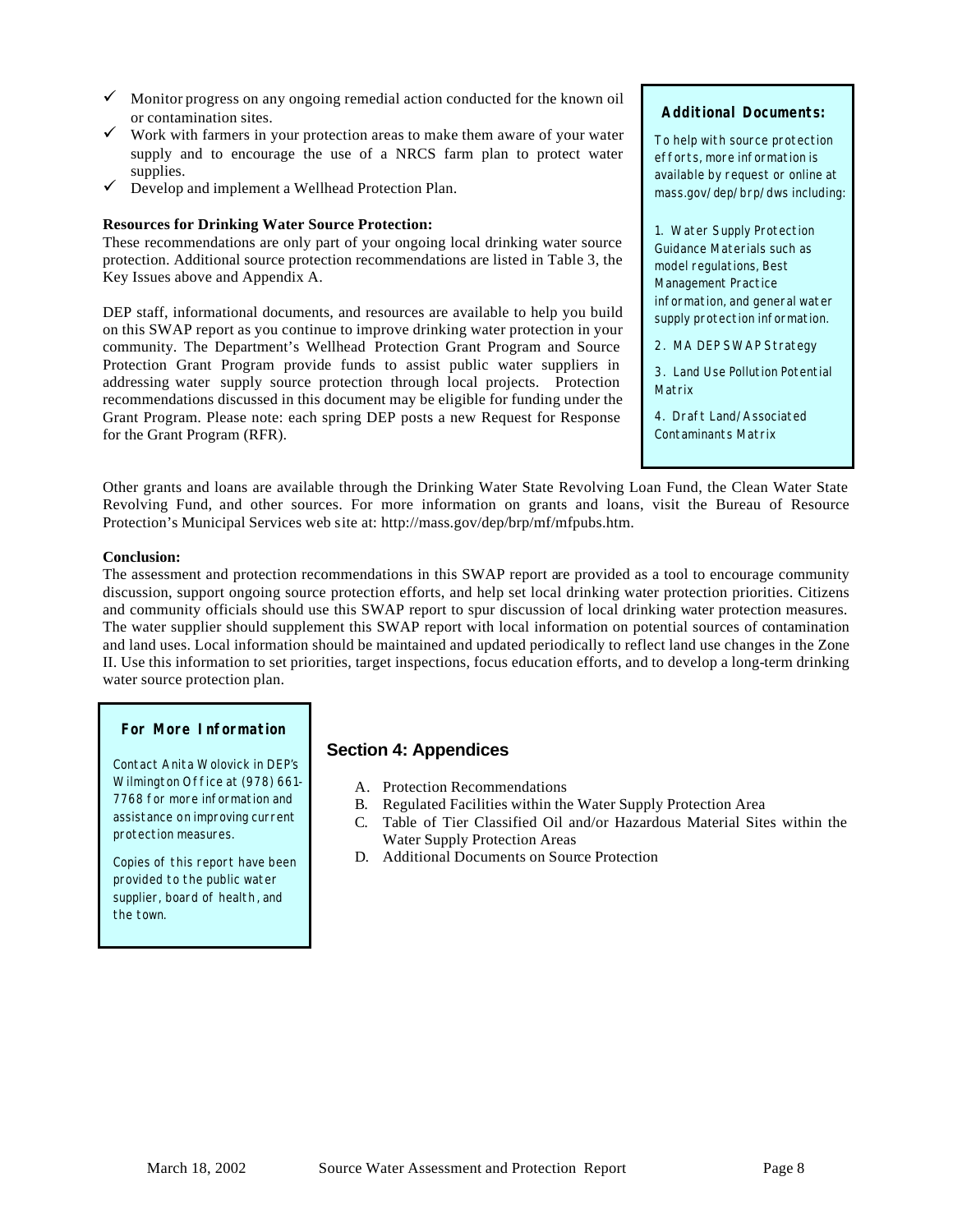- $\checkmark$  Monitor progress on any ongoing remedial action conducted for the known oil or contamination sites.
- $\checkmark$  Work with farmers in your protection areas to make them aware of your water supply and to encourage the use of a NRCS farm plan to protect water supplies.
- $\checkmark$  Develop and implement a Wellhead Protection Plan.

#### **Resources for Drinking Water Source Protection:**

These recommendations are only part of your ongoing local drinking water source protection. Additional source protection recommendations are listed in Table 3, the Key Issues above and Appendix A.

DEP staff, informational documents, and resources are available to help you build on this SWAP report as you continue to improve drinking water protection in your community. The Department's Wellhead Protection Grant Program and Source Protection Grant Program provide funds to assist public water suppliers in addressing water supply source protection through local projects. Protection recommendations discussed in this document may be eligible for funding under the Grant Program. Please note: each spring DEP posts a new Request for Response for the Grant Program (RFR).

#### **Additional Documents:**

To help with source protection efforts, more information is available by request or online at mass.gov/dep/brp/dws including:

1. Water Supply Protection Guidance Materials such as model regulations, Best Management Practice information, and general water supply protection information.

2. MA DEP SWAP Strategy

3. Land Use Pollution Potential Matrix

4. Draft Land/Associated Contaminants Matrix

Other grants and loans are available through the Drinking Water State Revolving Loan Fund, the Clean Water State Revolving Fund, and other sources. For more information on grants and loans, visit the Bureau of Resource Protection's Municipal Services web site at: http://mass.gov/dep/brp/mf/mfpubs.htm.

#### **Conclusion:**

The assessment and protection recommendations in this SWAP report are provided as a tool to encourage community discussion, support ongoing source protection efforts, and help set local drinking water protection priorities. Citizens and community officials should use this SWAP report to spur discussion of local drinking water protection measures. The water supplier should supplement this SWAP report with local information on potential sources of contamination and land uses. Local information should be maintained and updated periodically to reflect land use changes in the Zone II. Use this information to set priorities, target inspections, focus education efforts, and to develop a long-term drinking water source protection plan.

#### **For More Information**

Contact Anita Wolovick in DEP's Wilmington Office at (978) 661- 7768 for more information and assistance on improving current protection measures.

Copies of this report have been provided to the public water supplier, board of health, and the town.

## **Section 4: Appendices**

- A. Protection Recommendations
- B. Regulated Facilities within the Water Supply Protection Area
- C. Table of Tier Classified Oil and/or Hazardous Material Sites within the Water Supply Protection Areas
- D. Additional Documents on Source Protection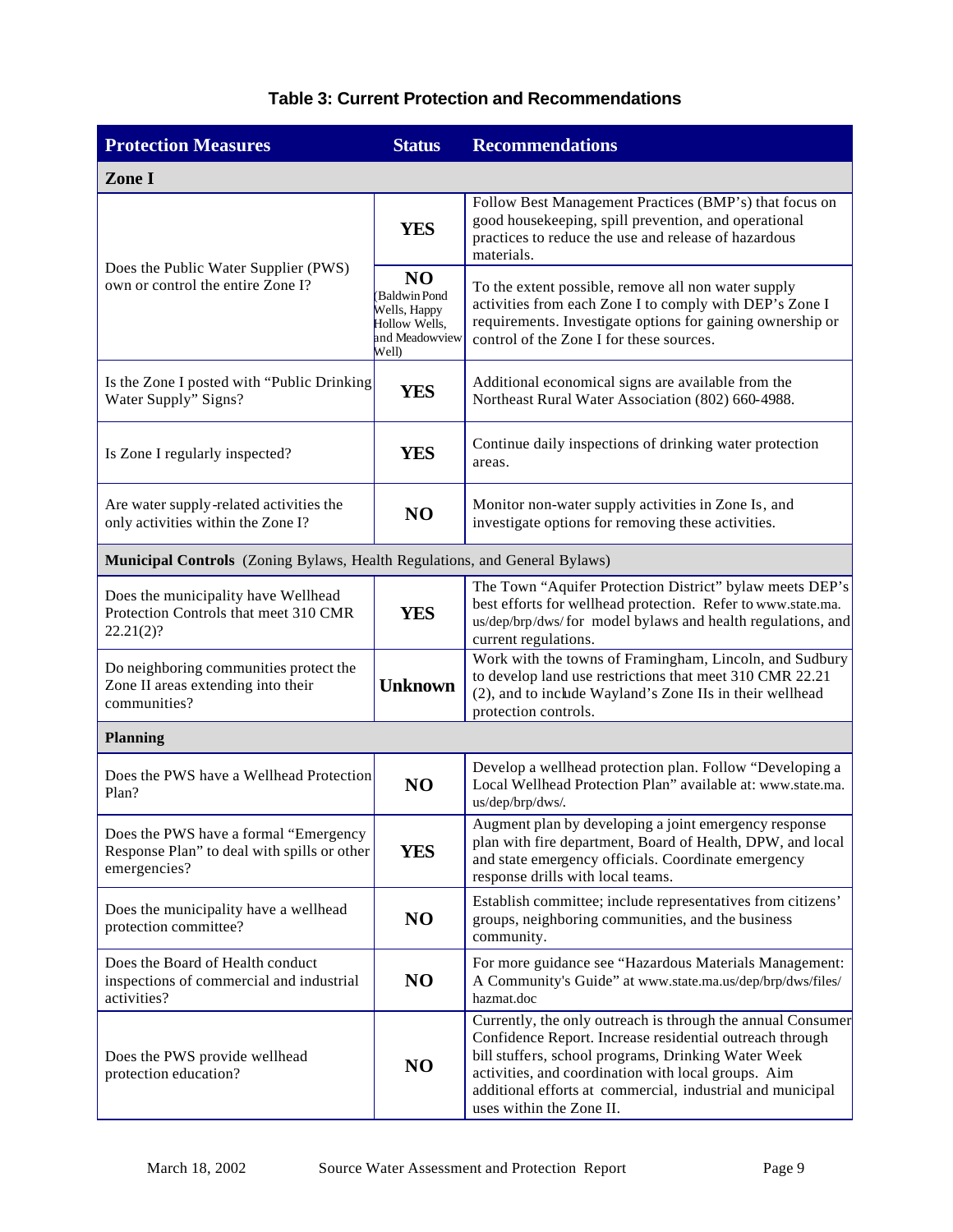| <b>Protection Measures</b>                                                                           | <b>Status</b>                                                                              | <b>Recommendations</b>                                                                                                                                                                                                                                                                                                          |
|------------------------------------------------------------------------------------------------------|--------------------------------------------------------------------------------------------|---------------------------------------------------------------------------------------------------------------------------------------------------------------------------------------------------------------------------------------------------------------------------------------------------------------------------------|
| Zone I                                                                                               |                                                                                            |                                                                                                                                                                                                                                                                                                                                 |
|                                                                                                      | <b>YES</b>                                                                                 | Follow Best Management Practices (BMP's) that focus on<br>good housekeeping, spill prevention, and operational<br>practices to reduce the use and release of hazardous<br>materials.                                                                                                                                            |
| Does the Public Water Supplier (PWS)<br>own or control the entire Zone I?                            | N <sub>O</sub><br>Baldwin Pond<br>Wells, Happy<br>Hollow Wells,<br>and Meadowview<br>Well) | To the extent possible, remove all non water supply<br>activities from each Zone I to comply with DEP's Zone I<br>requirements. Investigate options for gaining ownership or<br>control of the Zone I for these sources.                                                                                                        |
| Is the Zone I posted with "Public Drinking"<br>Water Supply" Signs?                                  | <b>YES</b>                                                                                 | Additional economical signs are available from the<br>Northeast Rural Water Association (802) 660-4988.                                                                                                                                                                                                                         |
| Is Zone I regularly inspected?                                                                       | YES                                                                                        | Continue daily inspections of drinking water protection<br>areas.                                                                                                                                                                                                                                                               |
| Are water supply-related activities the<br>only activities within the Zone I?                        | N <sub>O</sub>                                                                             | Monitor non-water supply activities in Zone Is, and<br>investigate options for removing these activities.                                                                                                                                                                                                                       |
| Municipal Controls (Zoning Bylaws, Health Regulations, and General Bylaws)                           |                                                                                            |                                                                                                                                                                                                                                                                                                                                 |
| Does the municipality have Wellhead<br>Protection Controls that meet 310 CMR<br>22.21(2)?            | <b>YES</b>                                                                                 | The Town "Aquifer Protection District" bylaw meets DEP's<br>best efforts for wellhead protection. Refer to www.state.ma.<br>us/dep/brp/dws/for model bylaws and health regulations, and<br>current regulations.                                                                                                                 |
| Do neighboring communities protect the<br>Zone II areas extending into their<br>communities?         | <b>Unknown</b>                                                                             | Work with the towns of Framingham, Lincoln, and Sudbury<br>to develop land use restrictions that meet 310 CMR 22.21<br>(2), and to include Wayland's Zone IIs in their wellhead<br>protection controls.                                                                                                                         |
| <b>Planning</b>                                                                                      |                                                                                            |                                                                                                                                                                                                                                                                                                                                 |
| Does the PWS have a Wellhead Protection<br>Plan?                                                     | N <sub>O</sub>                                                                             | Develop a wellhead protection plan. Follow "Developing a<br>Local Wellhead Protection Plan" available at: www.state.ma.<br>us/dep/brp/dws/.                                                                                                                                                                                     |
| Does the PWS have a formal "Emergency<br>Response Plan" to deal with spills or other<br>emergencies? | <b>YES</b>                                                                                 | Augment plan by developing a joint emergency response<br>plan with fire department, Board of Health, DPW, and local<br>and state emergency officials. Coordinate emergency<br>response drills with local teams.                                                                                                                 |
| Does the municipality have a wellhead<br>protection committee?                                       | N <sub>O</sub>                                                                             | Establish committee; include representatives from citizens'<br>groups, neighboring communities, and the business<br>community.                                                                                                                                                                                                  |
| Does the Board of Health conduct<br>inspections of commercial and industrial<br>activities?          | N <sub>O</sub>                                                                             | For more guidance see "Hazardous Materials Management:<br>A Community's Guide" at www.state.ma.us/dep/brp/dws/files/<br>hazmat.doc                                                                                                                                                                                              |
| Does the PWS provide wellhead<br>protection education?                                               | N <sub>O</sub>                                                                             | Currently, the only outreach is through the annual Consumer<br>Confidence Report. Increase residential outreach through<br>bill stuffers, school programs, Drinking Water Week<br>activities, and coordination with local groups. Aim<br>additional efforts at commercial, industrial and municipal<br>uses within the Zone II. |

## **Table 3: Current Protection and Recommendations**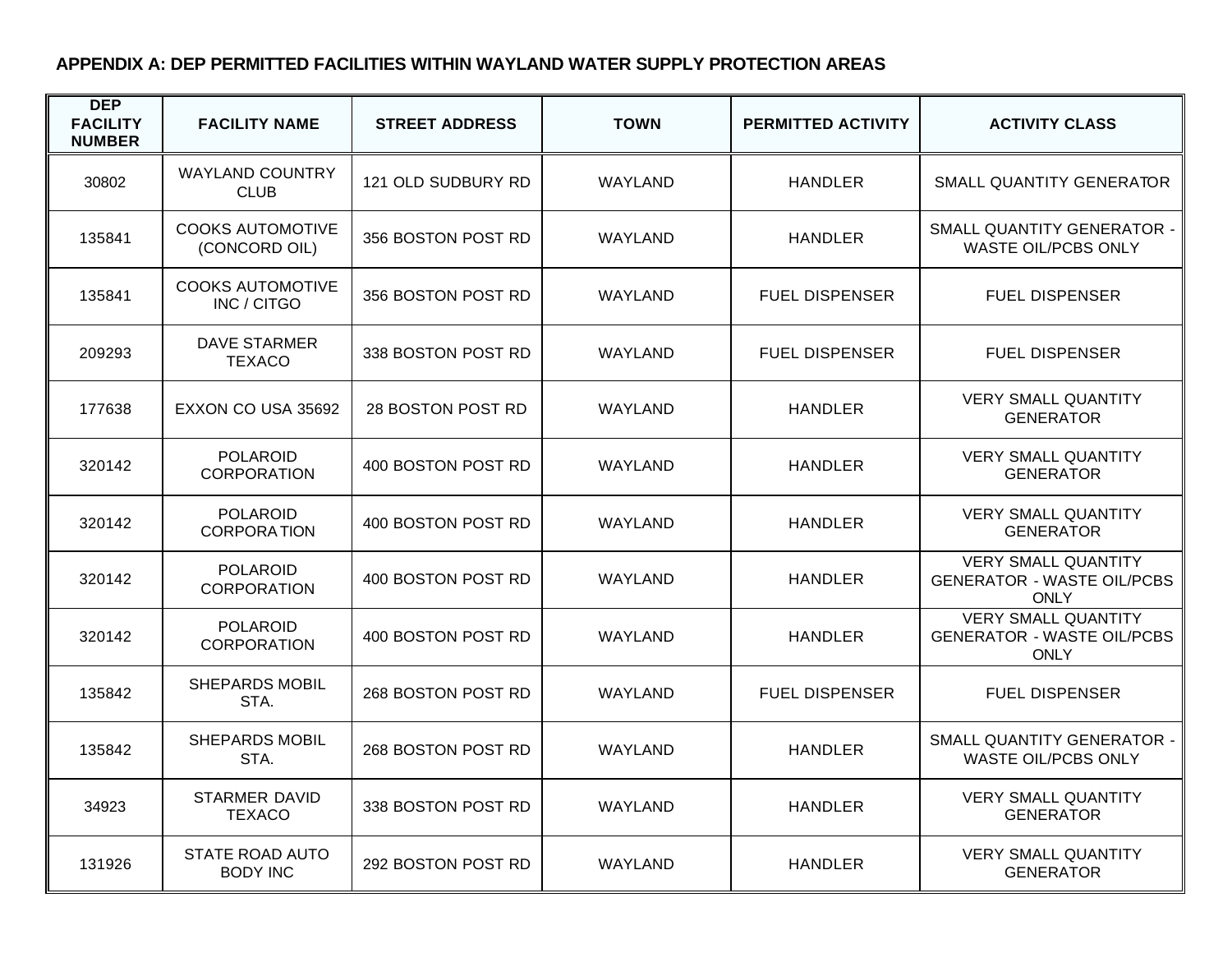## **APPENDIX A: DEP PERMITTED FACILITIES WITHIN WAYLAND WATER SUPPLY PROTECTION AREAS**

| <b>DEP</b><br><b>FACILITY</b><br><b>NUMBER</b> | <b>FACILITY NAME</b>                      | <b>STREET ADDRESS</b> | <b>TOWN</b>    | <b>PERMITTED ACTIVITY</b> | <b>ACTIVITY CLASS</b>                                                          |
|------------------------------------------------|-------------------------------------------|-----------------------|----------------|---------------------------|--------------------------------------------------------------------------------|
| 30802                                          | <b>WAYLAND COUNTRY</b><br><b>CLUB</b>     | 121 OLD SUDBURY RD    | <b>WAYLAND</b> | <b>HANDLER</b>            | SMALL QUANTITY GENERATOR                                                       |
| 135841                                         | <b>COOKS AUTOMOTIVE</b><br>(CONCORD OIL)  | 356 BOSTON POST RD    | WAYLAND        | <b>HANDLER</b>            | SMALL QUANTITY GENERATOR -<br>WASTE OIL/PCBS ONLY                              |
| 135841                                         | <b>COOKS AUTOMOTIVE</b><br>INC / CITGO    | 356 BOSTON POST RD    | <b>WAYLAND</b> | <b>FUEL DISPENSER</b>     | <b>FUEL DISPENSER</b>                                                          |
| 209293                                         | <b>DAVE STARMER</b><br><b>TEXACO</b>      | 338 BOSTON POST RD    | WAYLAND        | <b>FUEL DISPENSER</b>     | <b>FUEL DISPENSER</b>                                                          |
| 177638                                         | EXXON CO USA 35692                        | 28 BOSTON POST RD     | <b>WAYLAND</b> | <b>HANDLER</b>            | <b>VERY SMALL QUANTITY</b><br><b>GENERATOR</b>                                 |
| 320142                                         | <b>POLAROID</b><br><b>CORPORATION</b>     | 400 BOSTON POST RD    | <b>WAYLAND</b> | <b>HANDLER</b>            | <b>VERY SMALL QUANTITY</b><br><b>GENERATOR</b>                                 |
| 320142                                         | <b>POLAROID</b><br><b>CORPORATION</b>     | 400 BOSTON POST RD    | <b>WAYLAND</b> | <b>HANDLER</b>            | <b>VERY SMALL QUANTITY</b><br><b>GENERATOR</b>                                 |
| 320142                                         | <b>POLAROID</b><br><b>CORPORATION</b>     | 400 BOSTON POST RD    | <b>WAYLAND</b> | <b>HANDLER</b>            | <b>VERY SMALL QUANTITY</b><br><b>GENERATOR - WASTE OIL/PCBS</b><br><b>ONLY</b> |
| 320142                                         | <b>POLAROID</b><br><b>CORPORATION</b>     | 400 BOSTON POST RD    | <b>WAYLAND</b> | <b>HANDLER</b>            | <b>VERY SMALL QUANTITY</b><br><b>GENERATOR - WASTE OIL/PCBS</b><br><b>ONLY</b> |
| 135842                                         | <b>SHEPARDS MOBIL</b><br>STA.             | 268 BOSTON POST RD    | <b>WAYLAND</b> | <b>FUEL DISPENSER</b>     | <b>FUEL DISPENSER</b>                                                          |
| 135842                                         | <b>SHEPARDS MOBIL</b><br>STA.             | 268 BOSTON POST RD    | <b>WAYLAND</b> | <b>HANDLER</b>            | SMALL QUANTITY GENERATOR -<br><b>WASTE OIL/PCBS ONLY</b>                       |
| 34923                                          | <b>STARMER DAVID</b><br><b>TEXACO</b>     | 338 BOSTON POST RD    | <b>WAYLAND</b> | <b>HANDLER</b>            | <b>VERY SMALL QUANTITY</b><br><b>GENERATOR</b>                                 |
| 131926                                         | <b>STATE ROAD AUTO</b><br><b>BODY INC</b> | 292 BOSTON POST RD    | <b>WAYLAND</b> | <b>HANDLER</b>            | <b>VERY SMALL QUANTITY</b><br><b>GENERATOR</b>                                 |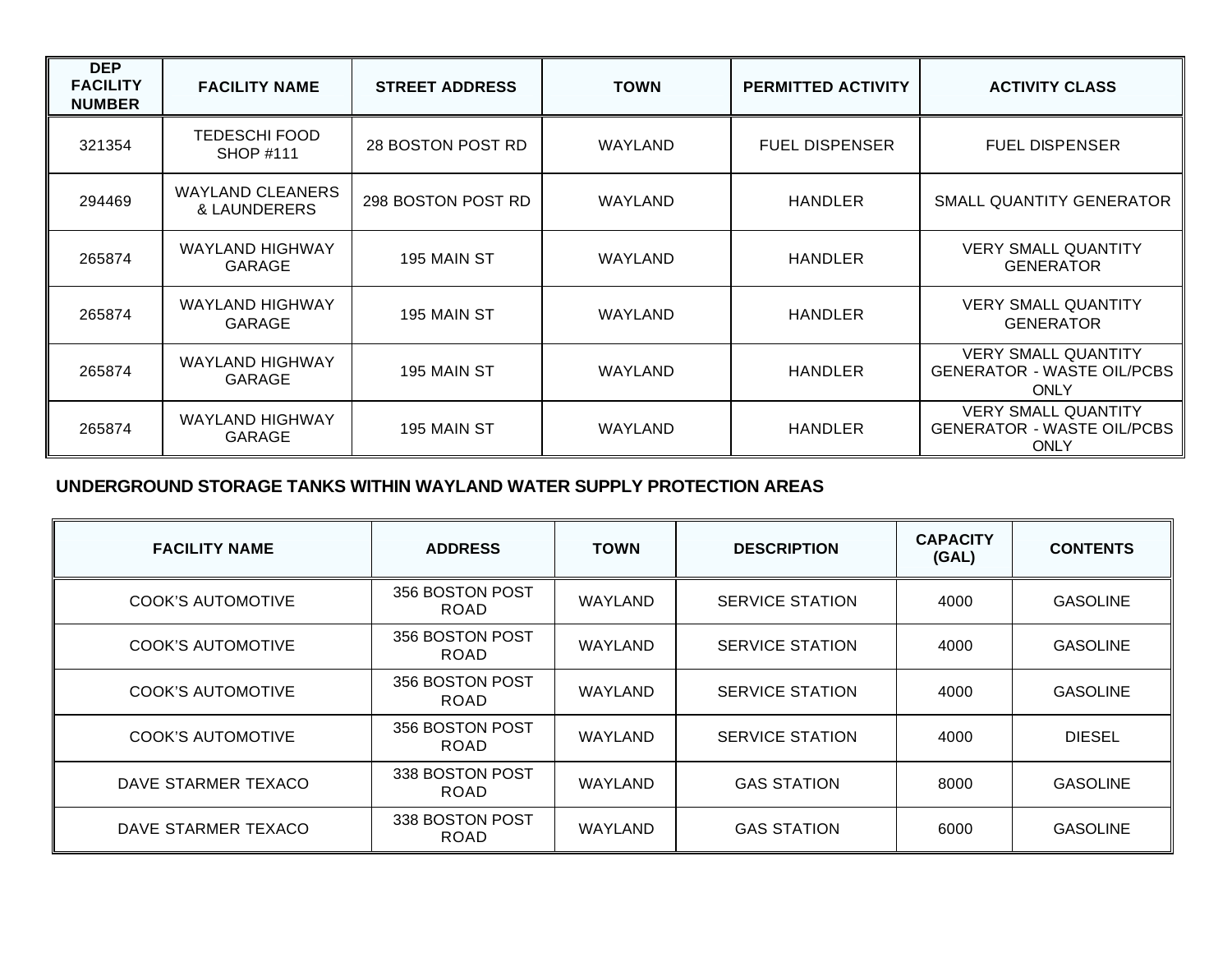| <b>DEP</b><br><b>FACILITY</b><br><b>NUMBER</b> | <b>FACILITY NAME</b>                    | <b>STREET ADDRESS</b> | <b>TOWN</b> | <b>PERMITTED ACTIVITY</b> | <b>ACTIVITY CLASS</b>                                                          |
|------------------------------------------------|-----------------------------------------|-----------------------|-------------|---------------------------|--------------------------------------------------------------------------------|
| 321354                                         | TEDESCHI FOOD<br><b>SHOP #111</b>       | 28 BOSTON POST RD     | WAYLAND     | <b>FUEL DISPENSER</b>     | <b>FUEL DISPENSER</b>                                                          |
| 294469                                         | <b>WAYLAND CLEANERS</b><br>& LAUNDERERS | 298 BOSTON POST RD    | WAYLAND     | <b>HANDLER</b>            | SMALL QUANTITY GENERATOR                                                       |
| 265874                                         | <b>WAYLAND HIGHWAY</b><br><b>GARAGE</b> | 195 MAIN ST           | WAYLAND     | <b>HANDLER</b>            | <b>VERY SMALL QUANTITY</b><br><b>GENERATOR</b>                                 |
| 265874                                         | <b>WAYLAND HIGHWAY</b><br><b>GARAGE</b> | 195 MAIN ST           | WAYLAND     | <b>HANDLER</b>            | <b>VERY SMALL QUANTITY</b><br><b>GENERATOR</b>                                 |
| 265874                                         | <b>WAYLAND HIGHWAY</b><br><b>GARAGE</b> | 195 MAIN ST           | WAYLAND     | <b>HANDLER</b>            | <b>VERY SMALL QUANTITY</b><br><b>GENERATOR - WASTE OIL/PCBS</b><br><b>ONLY</b> |
| 265874                                         | <b>WAYLAND HIGHWAY</b><br><b>GARAGE</b> | 195 MAIN ST           | WAYLAND     | <b>HANDLER</b>            | <b>VERY SMALL QUANTITY</b><br><b>GENERATOR - WASTE OIL/PCBS</b><br><b>ONLY</b> |

## **UNDERGROUND STORAGE TANKS WITHIN WAYLAND WATER SUPPLY PROTECTION AREAS**

| <b>FACILITY NAME</b>     | <b>ADDRESS</b>                 | <b>TOWN</b> | <b>DESCRIPTION</b>     | <b>CAPACITY</b><br>(GAL) | <b>CONTENTS</b> |
|--------------------------|--------------------------------|-------------|------------------------|--------------------------|-----------------|
| <b>COOK'S AUTOMOTIVE</b> | 356 BOSTON POST<br><b>ROAD</b> | WAYLAND     | <b>SERVICE STATION</b> | 4000                     | <b>GASOLINE</b> |
| COOK'S AUTOMOTIVE        | 356 BOSTON POST<br><b>ROAD</b> | WAYLAND     | <b>SERVICE STATION</b> | 4000                     | <b>GASOLINE</b> |
| COOK'S AUTOMOTIVE        | 356 BOSTON POST<br><b>ROAD</b> | WAYLAND     | <b>SERVICE STATION</b> | 4000                     | <b>GASOLINE</b> |
| COOK'S AUTOMOTIVE        | 356 BOSTON POST<br><b>ROAD</b> | WAYLAND     | <b>SERVICE STATION</b> | 4000                     | <b>DIESEL</b>   |
| DAVE STARMER TEXACO      | 338 BOSTON POST<br><b>ROAD</b> | WAYLAND     | <b>GAS STATION</b>     | 8000                     | <b>GASOLINE</b> |
| DAVE STARMER TEXACO      | 338 BOSTON POST<br><b>ROAD</b> | WAYLAND     | <b>GAS STATION</b>     | 6000                     | <b>GASOLINE</b> |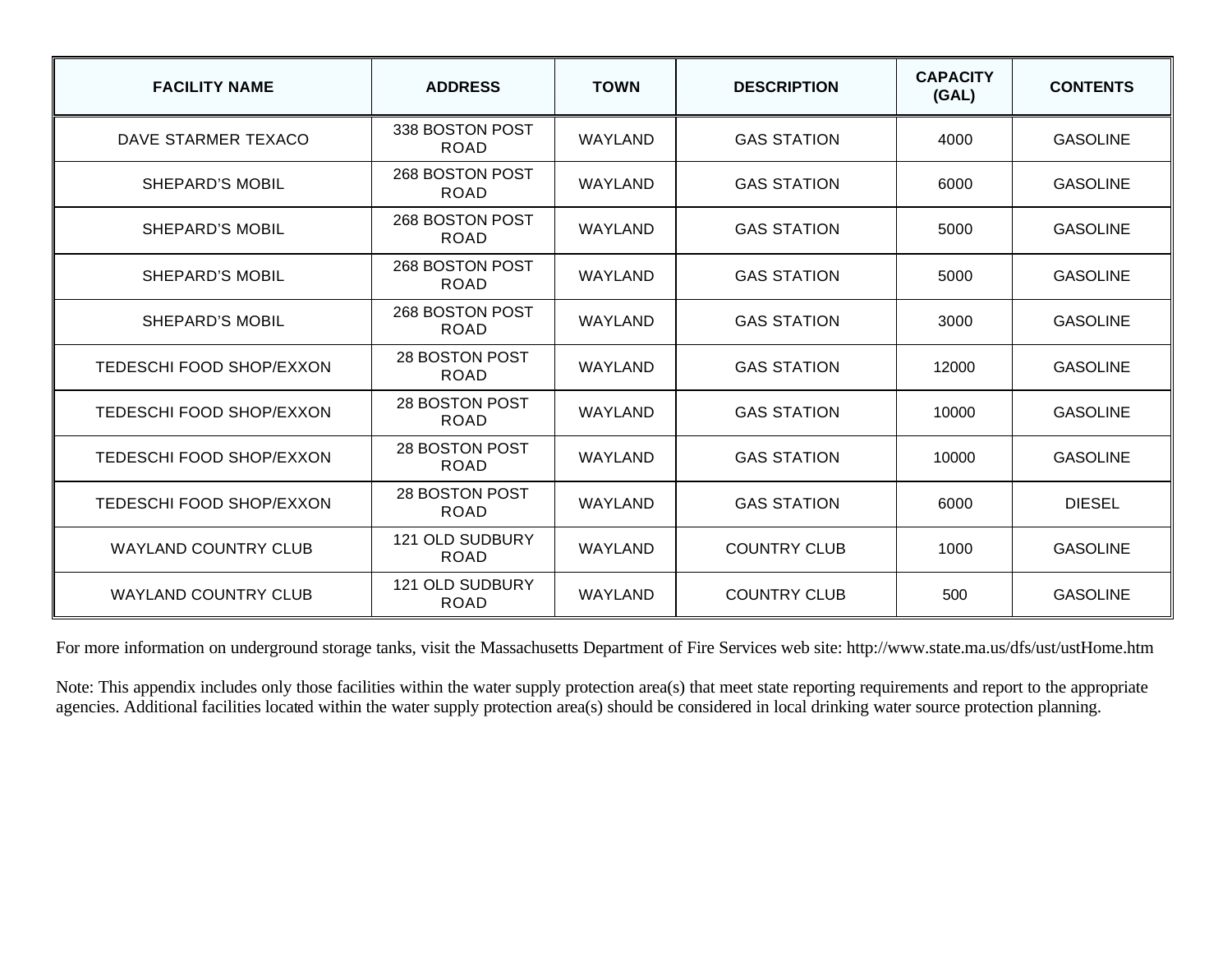| <b>FACILITY NAME</b>        | <b>ADDRESS</b>                 | <b>TOWN</b>    | <b>DESCRIPTION</b>  | <b>CAPACITY</b><br>(GAL) | <b>CONTENTS</b> |
|-----------------------------|--------------------------------|----------------|---------------------|--------------------------|-----------------|
| DAVE STARMER TEXACO         | 338 BOSTON POST<br><b>ROAD</b> | WAYLAND        | <b>GAS STATION</b>  | 4000                     | <b>GASOLINE</b> |
| <b>SHEPARD'S MOBIL</b>      | 268 BOSTON POST<br><b>ROAD</b> | WAYLAND        | <b>GAS STATION</b>  | 6000                     | <b>GASOLINE</b> |
| SHEPARD'S MOBIL             | 268 BOSTON POST<br><b>ROAD</b> | WAYLAND        | <b>GAS STATION</b>  | 5000                     | <b>GASOLINE</b> |
| SHEPARD'S MOBIL             | 268 BOSTON POST<br><b>ROAD</b> | WAYLAND        | <b>GAS STATION</b>  | 5000                     | <b>GASOLINE</b> |
| SHEPARD'S MOBIL             | 268 BOSTON POST<br><b>ROAD</b> | WAYLAND        | <b>GAS STATION</b>  | 3000                     | <b>GASOLINE</b> |
| TEDESCHI FOOD SHOP/EXXON    | 28 BOSTON POST<br><b>ROAD</b>  | WAYLAND        | <b>GAS STATION</b>  | 12000                    | <b>GASOLINE</b> |
| TEDESCHI FOOD SHOP/EXXON    | 28 BOSTON POST<br><b>ROAD</b>  | <b>WAYLAND</b> | <b>GAS STATION</b>  | 10000                    | <b>GASOLINE</b> |
| TEDESCHI FOOD SHOP/EXXON    | 28 BOSTON POST<br><b>ROAD</b>  | WAYLAND        | <b>GAS STATION</b>  | 10000                    | <b>GASOLINE</b> |
| TEDESCHI FOOD SHOP/EXXON    | 28 BOSTON POST<br><b>ROAD</b>  | WAYLAND        | <b>GAS STATION</b>  | 6000                     | <b>DIESEL</b>   |
| <b>WAYLAND COUNTRY CLUB</b> | 121 OLD SUDBURY<br><b>ROAD</b> | WAYLAND        | <b>COUNTRY CLUB</b> | 1000                     | <b>GASOLINE</b> |
| <b>WAYLAND COUNTRY CLUB</b> | 121 OLD SUDBURY<br><b>ROAD</b> | WAYLAND        | <b>COUNTRY CLUB</b> | 500                      | <b>GASOLINE</b> |

For more information on underground storage tanks, visit the Massachusetts Department of Fire Services web site: http://www.state.ma.us/dfs/ust/ustHome.htm

Note: This appendix includes only those facilities within the water supply protection area(s) that meet state reporting requirements and report to the appropriate agencies. Additional facilities located within the water supply protection area(s) should be considered in local drinking water source protection planning.